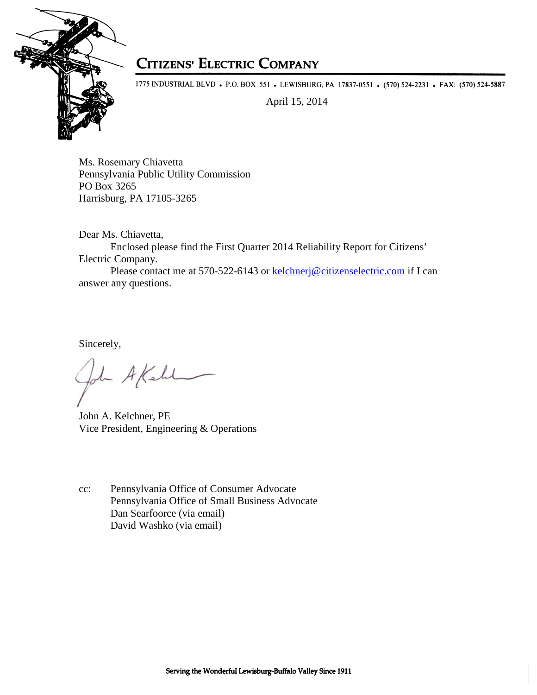

## **CITIZENS' ELECTRIC COMPANY**

1775 INDUSTRIAL BLVD • P.O. BOX 551 • LEWISBURG, PA 17837-0551 • (570) 524-2231 • FAX: (570) 524-5887

April 15, 2014

Ms. Rosemary Chiavetta Pennsylvania Public Utility Commission PO Box 3265 Harrisburg, PA 17105-3265

Dear Ms. Chiavetta,

Enclosed please find the First Quarter 2014 Reliability Report for Citizens' Electric Company.

Please contact me at 570-522-6143 or kelchnerj@citizenselectric.com if I can answer any questions.

Sincerely,

John AKahl

John A. Kelchner, PE Vice President, Engineering & Operations

cc: Pennsylvania Office of Consumer Advocate Pennsylvania Office of Small Business Advocate Dan Searfoorce (via email) David Washko (via email)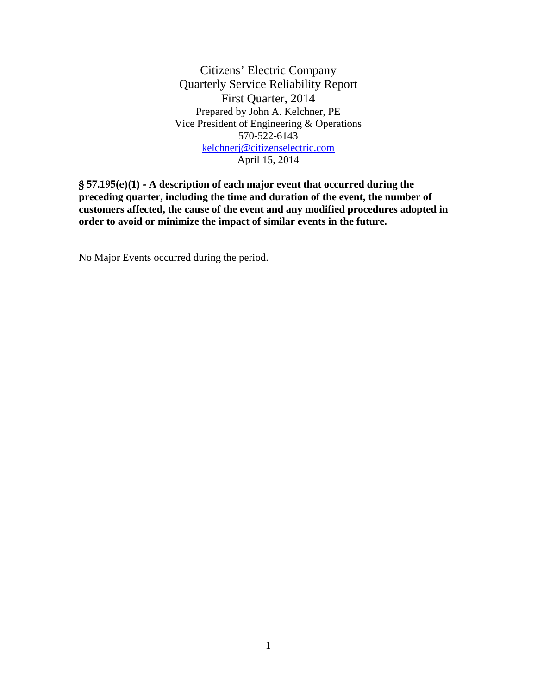Citizens' Electric Company Quarterly Service Reliability Report First Quarter, 2014 Prepared by John A. Kelchner, PE Vice President of Engineering & Operations 570-522-6143 kelchnerj@citizenselectric.com April 15, 2014

§ 57.195(e)(1) - **A description of each major event that occurred during the preceding quarter, including the time and duration of the event, the number of customers affected, the cause of the event and any modified procedures adopted in order to avoid or minimize the impact of similar events in the future.** 

No Major Events occurred during the period.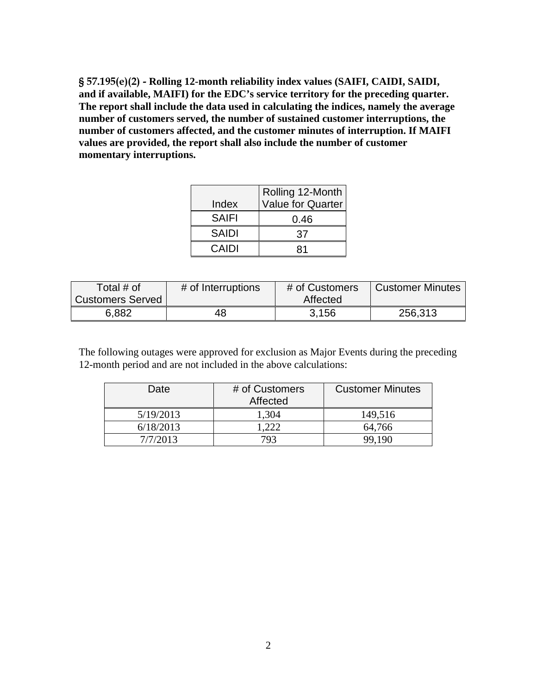§ 57.195(e)(2) - **Rolling 12-month reliability index values (SAIFI, CAIDI, SAIDI, and if available, MAIFI) for the EDC's service territory for the preceding quarter. The report shall include the data used in calculating the indices, namely the average number of customers served, the number of sustained customer interruptions, the number of customers affected, and the customer minutes of interruption. If MAIFI values are provided, the report shall also include the number of customer momentary interruptions.** 

|              | Rolling 12-Month         |
|--------------|--------------------------|
| Index        | <b>Value for Quarter</b> |
| <b>SAIFI</b> | 0.46                     |
| <b>SAIDI</b> | 37                       |
| CAIDI        | 81                       |

| Total $#$ of            | # of Interruptions | # of Customers | <b>Customer Minutes</b> |
|-------------------------|--------------------|----------------|-------------------------|
| <b>Customers Served</b> |                    | Affected       |                         |
| 6,882                   | 48                 | 3.156          | 256,313                 |

The following outages were approved for exclusion as Major Events during the preceding 12-month period and are not included in the above calculations:

| Date      | # of Customers<br>Affected | <b>Customer Minutes</b> |
|-----------|----------------------------|-------------------------|
| 5/19/2013 | 1,304                      | 149,516                 |
| 6/18/2013 | .222                       | 64,766                  |
| 7/7/2013  | 793                        | 99.190                  |